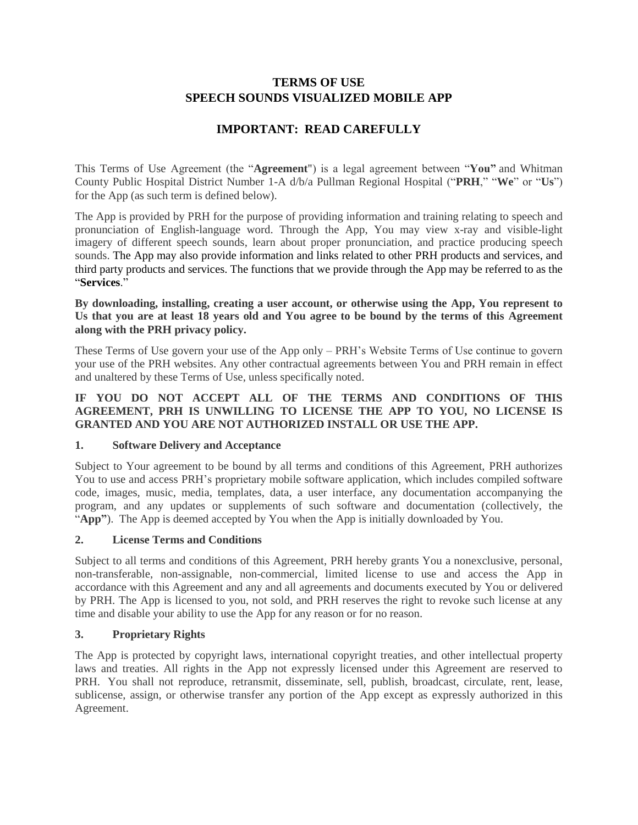# **TERMS OF USE SPEECH SOUNDS VISUALIZED MOBILE APP**

# **IMPORTANT: READ CAREFULLY**

This Terms of Use Agreement (the "**Agreement**") is a legal agreement between "**You"** and Whitman County Public Hospital District Number 1-A d/b/a Pullman Regional Hospital ("**PRH**," "**We**" or "**Us**") for the App (as such term is defined below).

The App is provided by PRH for the purpose of providing information and training relating to speech and pronunciation of English-language word. Through the App, You may view x-ray and visible-light imagery of different speech sounds, learn about proper pronunciation, and practice producing speech sounds. The App may also provide information and links related to other PRH products and services, and third party products and services. The functions that we provide through the App may be referred to as the "**Services**."

#### **By downloading, installing, creating a user account, or otherwise using the App, You represent to Us that you are at least 18 years old and You agree to be bound by the terms of this Agreement along with the PRH privacy policy.**

These Terms of Use govern your use of the App only – PRH's Website Terms of Use continue to govern your use of the PRH websites. Any other contractual agreements between You and PRH remain in effect and unaltered by these Terms of Use, unless specifically noted.

### **IF YOU DO NOT ACCEPT ALL OF THE TERMS AND CONDITIONS OF THIS AGREEMENT, PRH IS UNWILLING TO LICENSE THE APP TO YOU, NO LICENSE IS GRANTED AND YOU ARE NOT AUTHORIZED INSTALL OR USE THE APP.**

# **1. Software Delivery and Acceptance**

Subject to Your agreement to be bound by all terms and conditions of this Agreement, PRH authorizes You to use and access PRH's proprietary mobile software application, which includes compiled software code, images, music, media, templates, data, a user interface, any documentation accompanying the program, and any updates or supplements of such software and documentation (collectively, the "**App"**). The App is deemed accepted by You when the App is initially downloaded by You.

# **2. License Terms and Conditions**

Subject to all terms and conditions of this Agreement, PRH hereby grants You a nonexclusive, personal, non-transferable, non-assignable, non-commercial, limited license to use and access the App in accordance with this Agreement and any and all agreements and documents executed by You or delivered by PRH. The App is licensed to you, not sold, and PRH reserves the right to revoke such license at any time and disable your ability to use the App for any reason or for no reason.

# **3. Proprietary Rights**

The App is protected by copyright laws, international copyright treaties, and other intellectual property laws and treaties. All rights in the App not expressly licensed under this Agreement are reserved to PRH. You shall not reproduce, retransmit, disseminate, sell, publish, broadcast, circulate, rent, lease, sublicense, assign, or otherwise transfer any portion of the App except as expressly authorized in this Agreement.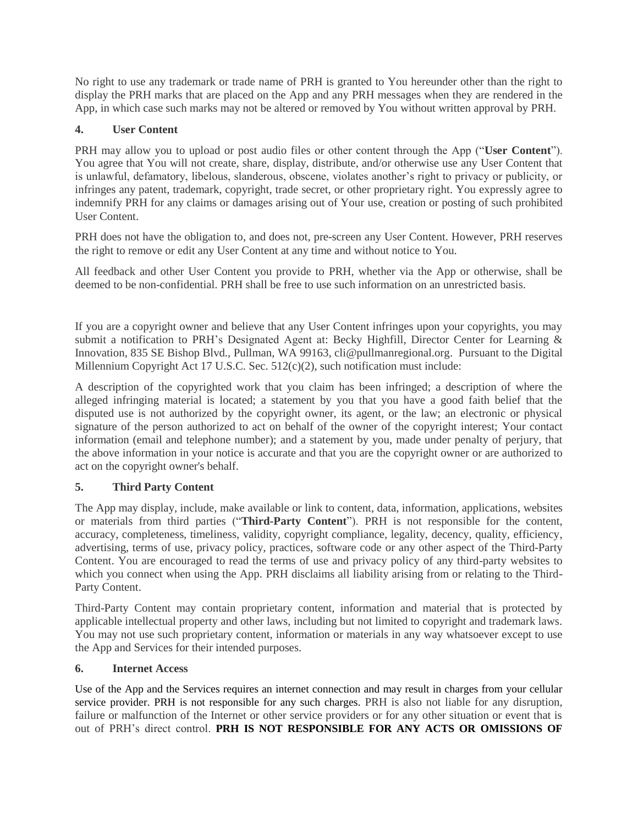No right to use any trademark or trade name of PRH is granted to You hereunder other than the right to display the PRH marks that are placed on the App and any PRH messages when they are rendered in the App, in which case such marks may not be altered or removed by You without written approval by PRH.

# **4. User Content**

PRH may allow you to upload or post audio files or other content through the App ("**User Content**"). You agree that You will not create, share, display, distribute, and/or otherwise use any User Content that is unlawful, defamatory, libelous, slanderous, obscene, violates another's right to privacy or publicity, or infringes any patent, trademark, copyright, trade secret, or other proprietary right. You expressly agree to indemnify PRH for any claims or damages arising out of Your use, creation or posting of such prohibited User Content.

PRH does not have the obligation to, and does not, pre-screen any User Content. However, PRH reserves the right to remove or edit any User Content at any time and without notice to You.

All feedback and other User Content you provide to PRH, whether via the App or otherwise, shall be deemed to be non-confidential. PRH shall be free to use such information on an unrestricted basis.

If you are a copyright owner and believe that any User Content infringes upon your copyrights, you may submit a notification to PRH's Designated Agent at: Becky Highfill, Director Center for Learning & Innovation, 835 SE Bishop Blvd., Pullman, WA 99163, cli@pullmanregional.org. Pursuant to the Digital Millennium Copyright Act 17 U.S.C. Sec. 512(c)(2), such notification must include:

A description of the copyrighted work that you claim has been infringed; a description of where the alleged infringing material is located; a statement by you that you have a good faith belief that the disputed use is not authorized by the copyright owner, its agent, or the law; an electronic or physical signature of the person authorized to act on behalf of the owner of the copyright interest; Your contact information (email and telephone number); and a statement by you, made under penalty of perjury, that the above information in your notice is accurate and that you are the copyright owner or are authorized to act on the copyright owner's behalf.

# **5. Third Party Content**

The App may display, include, make available or link to content, data, information, applications, websites or materials from third parties ("**Third-Party Content**"). PRH is not responsible for the content, accuracy, completeness, timeliness, validity, copyright compliance, legality, decency, quality, efficiency, advertising, terms of use, privacy policy, practices, software code or any other aspect of the Third-Party Content. You are encouraged to read the terms of use and privacy policy of any third-party websites to which you connect when using the App. PRH disclaims all liability arising from or relating to the Third-Party Content.

Third-Party Content may contain proprietary content, information and material that is protected by applicable intellectual property and other laws, including but not limited to copyright and trademark laws. You may not use such proprietary content, information or materials in any way whatsoever except to use the App and Services for their intended purposes.

# **6. Internet Access**

Use of the App and the Services requires an internet connection and may result in charges from your cellular service provider. PRH is not responsible for any such charges. PRH is also not liable for any disruption, failure or malfunction of the Internet or other service providers or for any other situation or event that is out of PRH's direct control. **PRH IS NOT RESPONSIBLE FOR ANY ACTS OR OMISSIONS OF**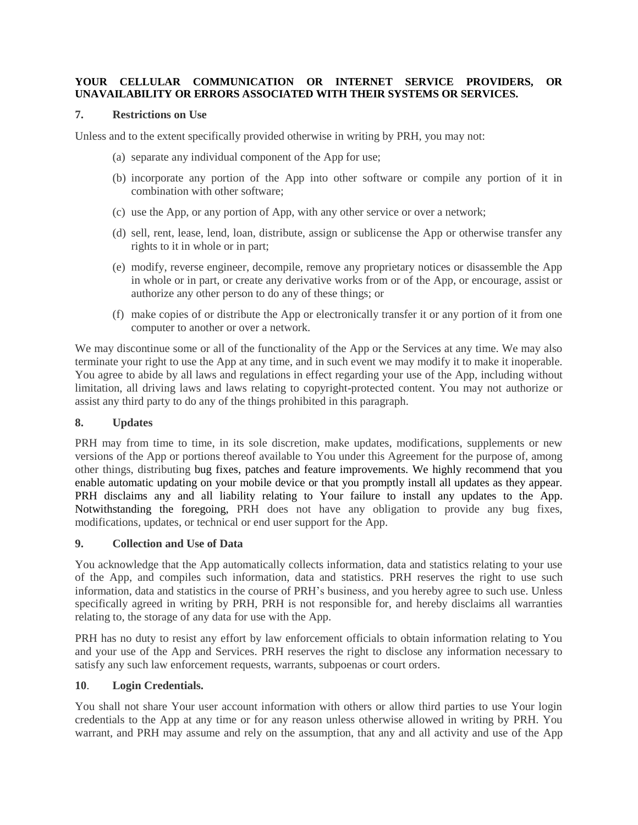#### **YOUR CELLULAR COMMUNICATION OR INTERNET SERVICE PROVIDERS, OR UNAVAILABILITY OR ERRORS ASSOCIATED WITH THEIR SYSTEMS OR SERVICES.**

#### **7. Restrictions on Use**

Unless and to the extent specifically provided otherwise in writing by PRH, you may not:

- (a) separate any individual component of the App for use;
- (b) incorporate any portion of the App into other software or compile any portion of it in combination with other software;
- (c) use the App, or any portion of App, with any other service or over a network;
- (d) sell, rent, lease, lend, loan, distribute, assign or sublicense the App or otherwise transfer any rights to it in whole or in part;
- (e) modify, reverse engineer, decompile, remove any proprietary notices or disassemble the App in whole or in part, or create any derivative works from or of the App, or encourage, assist or authorize any other person to do any of these things; or
- (f) make copies of or distribute the App or electronically transfer it or any portion of it from one computer to another or over a network.

We may discontinue some or all of the functionality of the App or the Services at any time. We may also terminate your right to use the App at any time, and in such event we may modify it to make it inoperable. You agree to abide by all laws and regulations in effect regarding your use of the App, including without limitation, all driving laws and laws relating to copyright-protected content. You may not authorize or assist any third party to do any of the things prohibited in this paragraph.

#### **8. Updates**

PRH may from time to time, in its sole discretion, make updates, modifications, supplements or new versions of the App or portions thereof available to You under this Agreement for the purpose of, among other things, distributing bug fixes, patches and feature improvements. We highly recommend that you enable automatic updating on your mobile device or that you promptly install all updates as they appear. PRH disclaims any and all liability relating to Your failure to install any updates to the App. Notwithstanding the foregoing, PRH does not have any obligation to provide any bug fixes, modifications, updates, or technical or end user support for the App.

#### **9. Collection and Use of Data**

You acknowledge that the App automatically collects information, data and statistics relating to your use of the App, and compiles such information, data and statistics. PRH reserves the right to use such information, data and statistics in the course of PRH's business, and you hereby agree to such use. Unless specifically agreed in writing by PRH, PRH is not responsible for, and hereby disclaims all warranties relating to, the storage of any data for use with the App.

PRH has no duty to resist any effort by law enforcement officials to obtain information relating to You and your use of the App and Services. PRH reserves the right to disclose any information necessary to satisfy any such law enforcement requests, warrants, subpoenas or court orders.

#### **10**. **Login Credentials.**

You shall not share Your user account information with others or allow third parties to use Your login credentials to the App at any time or for any reason unless otherwise allowed in writing by PRH. You warrant, and PRH may assume and rely on the assumption, that any and all activity and use of the App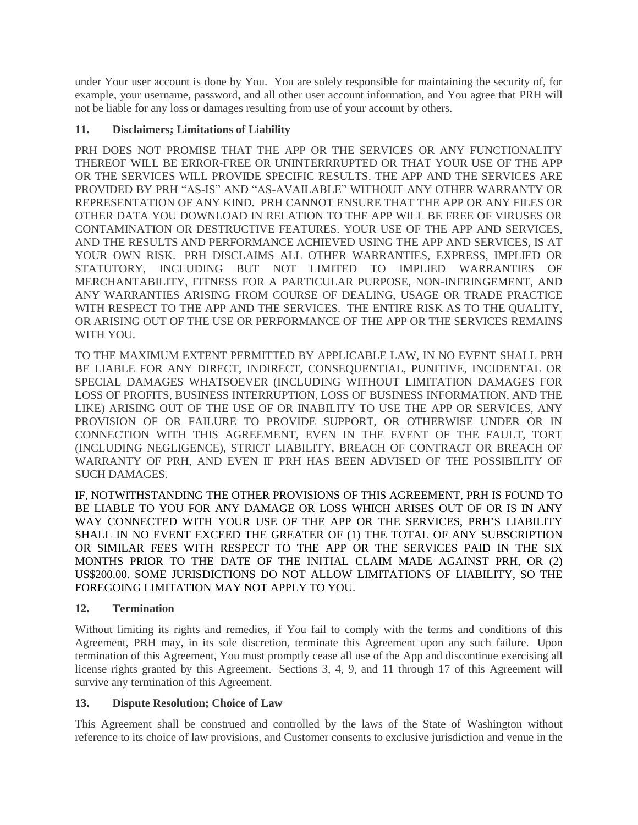under Your user account is done by You. You are solely responsible for maintaining the security of, for example, your username, password, and all other user account information, and You agree that PRH will not be liable for any loss or damages resulting from use of your account by others.

### **11. Disclaimers; Limitations of Liability**

PRH DOES NOT PROMISE THAT THE APP OR THE SERVICES OR ANY FUNCTIONALITY THEREOF WILL BE ERROR-FREE OR UNINTERRRUPTED OR THAT YOUR USE OF THE APP OR THE SERVICES WILL PROVIDE SPECIFIC RESULTS. THE APP AND THE SERVICES ARE PROVIDED BY PRH "AS-IS" AND "AS-AVAILABLE" WITHOUT ANY OTHER WARRANTY OR REPRESENTATION OF ANY KIND. PRH CANNOT ENSURE THAT THE APP OR ANY FILES OR OTHER DATA YOU DOWNLOAD IN RELATION TO THE APP WILL BE FREE OF VIRUSES OR CONTAMINATION OR DESTRUCTIVE FEATURES. YOUR USE OF THE APP AND SERVICES, AND THE RESULTS AND PERFORMANCE ACHIEVED USING THE APP AND SERVICES, IS AT YOUR OWN RISK. PRH DISCLAIMS ALL OTHER WARRANTIES, EXPRESS, IMPLIED OR STATUTORY, INCLUDING BUT NOT LIMITED TO IMPLIED WARRANTIES OF MERCHANTABILITY, FITNESS FOR A PARTICULAR PURPOSE, NON-INFRINGEMENT, AND ANY WARRANTIES ARISING FROM COURSE OF DEALING, USAGE OR TRADE PRACTICE WITH RESPECT TO THE APP AND THE SERVICES. THE ENTIRE RISK AS TO THE QUALITY, OR ARISING OUT OF THE USE OR PERFORMANCE OF THE APP OR THE SERVICES REMAINS WITH YOU.

TO THE MAXIMUM EXTENT PERMITTED BY APPLICABLE LAW, IN NO EVENT SHALL PRH BE LIABLE FOR ANY DIRECT, INDIRECT, CONSEQUENTIAL, PUNITIVE, INCIDENTAL OR SPECIAL DAMAGES WHATSOEVER (INCLUDING WITHOUT LIMITATION DAMAGES FOR LOSS OF PROFITS, BUSINESS INTERRUPTION, LOSS OF BUSINESS INFORMATION, AND THE LIKE) ARISING OUT OF THE USE OF OR INABILITY TO USE THE APP OR SERVICES, ANY PROVISION OF OR FAILURE TO PROVIDE SUPPORT, OR OTHERWISE UNDER OR IN CONNECTION WITH THIS AGREEMENT, EVEN IN THE EVENT OF THE FAULT, TORT (INCLUDING NEGLIGENCE), STRICT LIABILITY, BREACH OF CONTRACT OR BREACH OF WARRANTY OF PRH, AND EVEN IF PRH HAS BEEN ADVISED OF THE POSSIBILITY OF SUCH DAMAGES.

IF, NOTWITHSTANDING THE OTHER PROVISIONS OF THIS AGREEMENT, PRH IS FOUND TO BE LIABLE TO YOU FOR ANY DAMAGE OR LOSS WHICH ARISES OUT OF OR IS IN ANY WAY CONNECTED WITH YOUR USE OF THE APP OR THE SERVICES, PRH'S LIABILITY SHALL IN NO EVENT EXCEED THE GREATER OF (1) THE TOTAL OF ANY SUBSCRIPTION OR SIMILAR FEES WITH RESPECT TO THE APP OR THE SERVICES PAID IN THE SIX MONTHS PRIOR TO THE DATE OF THE INITIAL CLAIM MADE AGAINST PRH, OR (2) US\$200.00. SOME JURISDICTIONS DO NOT ALLOW LIMITATIONS OF LIABILITY, SO THE FOREGOING LIMITATION MAY NOT APPLY TO YOU.

#### **12. Termination**

Without limiting its rights and remedies, if You fail to comply with the terms and conditions of this Agreement, PRH may, in its sole discretion, terminate this Agreement upon any such failure. Upon termination of this Agreement, You must promptly cease all use of the App and discontinue exercising all license rights granted by this Agreement. Sections 3, 4, 9, and 11 through 17 of this Agreement will survive any termination of this Agreement*.*

#### **13. Dispute Resolution; Choice of Law**

This Agreement shall be construed and controlled by the laws of the State of Washington without reference to its choice of law provisions, and Customer consents to exclusive jurisdiction and venue in the